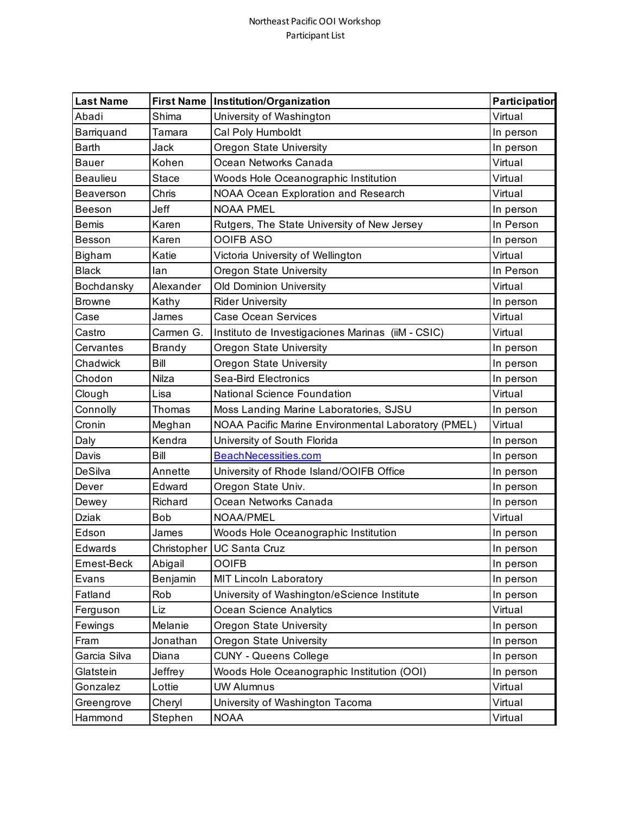## Northeast Pacific OOI Workshop Participant List

| <b>Last Name</b> |               | First Name   Institution/Organization               | Participation |
|------------------|---------------|-----------------------------------------------------|---------------|
| Abadi            | Shima         | University of Washington                            | Virtual       |
| Barriquand       | Tamara        | Cal Poly Humboldt                                   | In person     |
| <b>Barth</b>     | Jack          | Oregon State University                             | In person     |
| <b>Bauer</b>     | Kohen         | Ocean Networks Canada                               | Virtual       |
| <b>Beaulieu</b>  | Stace         | Woods Hole Oceanographic Institution                | Virtual       |
| Beaverson        | Chris         | NOAA Ocean Exploration and Research                 | Virtual       |
| Beeson           | Jeff          | <b>NOAA PMEL</b>                                    | In person     |
| <b>Bemis</b>     | Karen         | Rutgers, The State University of New Jersey         | In Person     |
| Besson           | Karen         | <b>OOIFB ASO</b>                                    | In person     |
| Bigham           | Katie         | Victoria University of Wellington                   | Virtual       |
| <b>Black</b>     | lan           | Oregon State University                             | In Person     |
| Bochdansky       | Alexander     | <b>Old Dominion University</b>                      | Virtual       |
| <b>Browne</b>    | Kathy         | <b>Rider University</b>                             | In person     |
| Case             | James         | <b>Case Ocean Services</b>                          | Virtual       |
| Castro           | Carmen G.     | Instituto de Investigaciones Marinas (iiM - CSIC)   | Virtual       |
| Cervantes        | <b>Brandy</b> | Oregon State University                             | In person     |
| Chadwick         | Bill          | Oregon State University                             | In person     |
| Chodon           | Nilza         | <b>Sea-Bird Electronics</b>                         | In person     |
| Clough           | Lisa          | <b>National Science Foundation</b>                  | Virtual       |
| Connolly         | Thomas        | Moss Landing Marine Laboratories, SJSU              | In person     |
| Cronin           | Meghan        | NOAA Pacific Marine Environmental Laboratory (PMEL) | Virtual       |
| Daly             | Kendra        | University of South Florida                         | In person     |
| Davis            | Bill          | <b>BeachNecessities.com</b>                         | In person     |
| DeSilva          | Annette       | University of Rhode Island/OOIFB Office             | In person     |
| Dever            | Edward        | Oregon State Univ.                                  | In person     |
| Dewey            | Richard       | Ocean Networks Canada                               | In person     |
| <b>Dziak</b>     | Bob           | NOAA/PMEL                                           | Virtual       |
| Edson            | James         | Woods Hole Oceanographic Institution                | In person     |
| Edwards          |               | Christopher   UC Santa Cruz                         | In person     |
| Ernest-Beck      | Abigail       | <b>OOIFB</b>                                        | In person     |
| Evans            | Benjamin      | <b>MIT Lincoln Laboratory</b>                       | In person     |
| Fatland          | Rob           | University of Washington/eScience Institute         | In person     |
| Ferguson         | Liz           | Ocean Science Analytics                             | Virtual       |
| Fewings          | Melanie       | Oregon State University                             | In person     |
| Fram             | Jonathan      | Oregon State University                             | In person     |
| Garcia Silva     | Diana         | <b>CUNY - Queens College</b>                        | In person     |
| Glatstein        | Jeffrey       | Woods Hole Oceanographic Institution (OOI)          | In person     |
| Gonzalez         | Lottie        | <b>UW Alumnus</b>                                   | Virtual       |
| Greengrove       | Cheryl        | University of Washington Tacoma                     | Virtual       |
| Hammond          | Stephen       | <b>NOAA</b>                                         | Virtual       |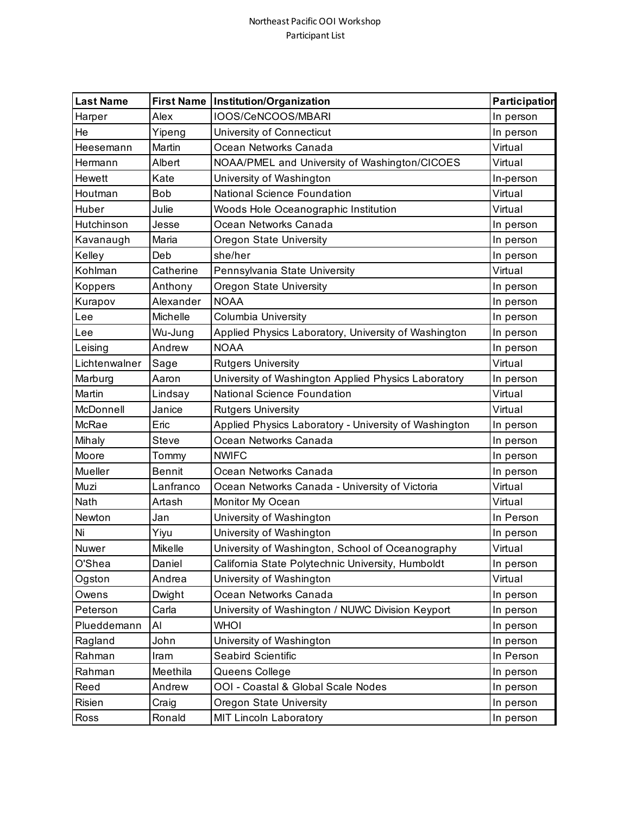## Northeast Pacific OOI Workshop Participant List

| <b>Last Name</b> | <b>First Name</b> | Institution/Organization                              | Participation |
|------------------|-------------------|-------------------------------------------------------|---------------|
| Harper           | Alex              | IOOS/CeNCOOS/MBARI                                    | In person     |
| He               | Yipeng            | University of Connecticut                             | In person     |
| Heesemann        | Martin            | Ocean Networks Canada                                 | Virtual       |
| Hermann          | Albert            | NOAA/PMEL and University of Washington/CICOES         | Virtual       |
| <b>Hewett</b>    | Kate              | University of Washington                              | In-person     |
| Houtman          | <b>Bob</b>        | National Science Foundation                           | Virtual       |
| Huber            | Julie             | Woods Hole Oceanographic Institution                  | Virtual       |
| Hutchinson       | Jesse             | Ocean Networks Canada                                 | In person     |
| Kavanaugh        | Maria             | Oregon State University                               | In person     |
| Kelley           | Deb               | she/her                                               | In person     |
| Kohlman          | Catherine         | Pennsylvania State University                         | Virtual       |
| Koppers          | Anthony           | Oregon State University                               | In person     |
| Kurapov          | Alexander         | <b>NOAA</b>                                           | In person     |
| Lee              | Michelle          | Columbia University                                   | In person     |
| Lee              | Wu-Jung           | Applied Physics Laboratory, University of Washington  | In person     |
| Leising          | Andrew            | <b>NOAA</b>                                           | In person     |
| Lichtenwalner    | Sage              | <b>Rutgers University</b>                             | Virtual       |
| Marburg          | Aaron             | University of Washington Applied Physics Laboratory   | In person     |
| Martin           | Lindsay           | National Science Foundation                           | Virtual       |
| McDonnell        | Janice            | <b>Rutgers University</b>                             | Virtual       |
| McRae            | Eric              | Applied Physics Laboratory - University of Washington | In person     |
| Mihaly           | <b>Steve</b>      | Ocean Networks Canada                                 | In person     |
| Moore            | Tommy             | <b>NWIFC</b>                                          | In person     |
| Mueller          | <b>Bennit</b>     | Ocean Networks Canada                                 | In person     |
| Muzi             | Lanfranco         | Ocean Networks Canada - University of Victoria        | Virtual       |
| Nath             | Artash            | Monitor My Ocean                                      | Virtual       |
| Newton           | Jan               | University of Washington                              | In Person     |
| Ni               | Yiyu              | University of Washington                              | In person     |
| Nuwer            | Mikelle           | University of Washington, School of Oceanography      | Virtual       |
| O'Shea           | Daniel            | California State Polytechnic University, Humboldt     | In person     |
| Ogston           | Andrea            | University of Washington                              | Virtual       |
| Owens            | Dwight            | Ocean Networks Canada                                 | In person     |
| Peterson         | Carla             | University of Washington / NUWC Division Keyport      | In person     |
| Plueddemann      | Al                | <b>NHOI</b>                                           | In person     |
| Ragland          | John              | University of Washington                              | In person     |
| Rahman           | Iram              | Seabird Scientific                                    | In Person     |
| Rahman           | Meethila          | Queens College                                        | In person     |
| Reed             | Andrew            | OOI - Coastal & Global Scale Nodes                    | In person     |
| Risien           | Craig             | Oregon State University                               | In person     |
| Ross             | Ronald            | <b>MIT Lincoln Laboratory</b>                         | In person     |